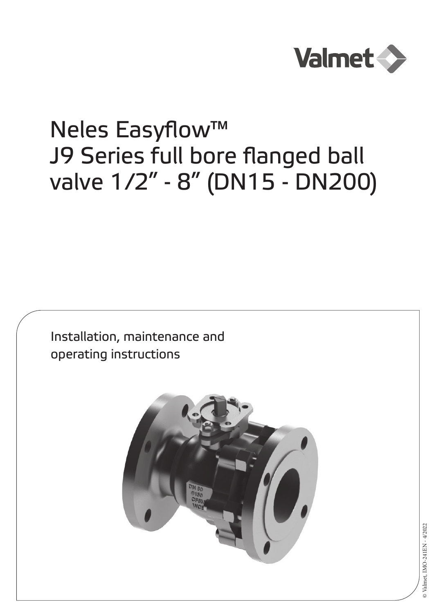

# Neles Easyflow™ J9 Series full bore flanged ball valve 1/2" - 8" (DN15 - DN200)

Installation, maintenance and operating instructions

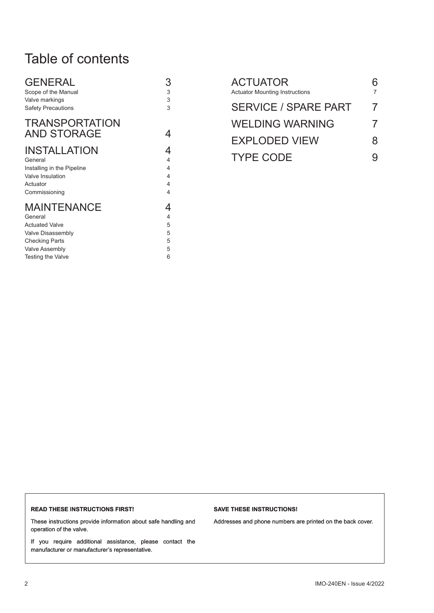# Table of contents

| <b>GENERAL</b>                              | 3 |
|---------------------------------------------|---|
| Scope of the Manual                         | 3 |
| Valve markings                              | 3 |
| <b>Safety Precautions</b>                   | 3 |
| <b>TRANSPORTATION</b><br><b>AND STORAGE</b> |   |
| <b>INSTALLATION</b>                         | 4 |
| General                                     | 4 |
| Installing in the Pipeline                  | 4 |
| <b>Valve Insulation</b>                     | 4 |
| Actuator                                    | 4 |
| Commissioning                               | 4 |
| <b>MAINTENANCE</b>                          | 4 |
| General                                     | 4 |
| <b>Actuated Valve</b>                       | 5 |
| Valve Disassembly                           | 5 |
| <b>Checking Parts</b>                       | 5 |
| <b>Valve Assembly</b>                       | 5 |

Testing the Valve 6

| <b>ACTUATOR</b><br><b>Actuator Mounting Instructions</b> |          |
|----------------------------------------------------------|----------|
| <b>SERVICE / SPARE PART</b>                              | 7        |
| <b>WELDING WARNING</b>                                   | $\prime$ |
| <b>EXPLODED VIEW</b>                                     | 8        |
| <b>TYPE CODE</b>                                         |          |

#### **READ THESE INSTRUCTIONS FIRST!**

These instructions provide information about safe handling and operation of the valve.

If you require additional assistance, please contact the manufacturer or manufacturer's representative.

#### **SAVE THESE INSTRUCTIONS!**

Addresses and phone numbers are printed on the back cover.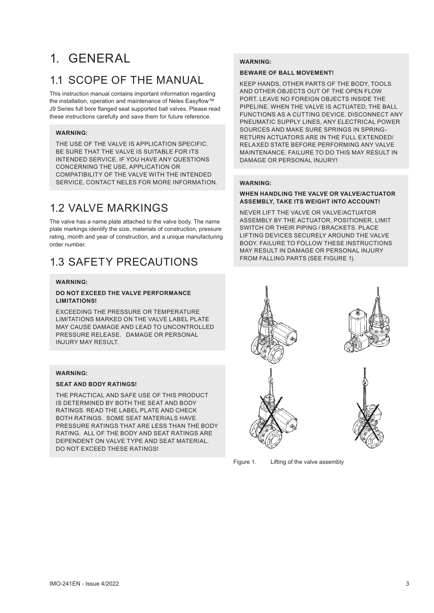# 1. GENERAL

# 1.1 SCOPE OF THE MANUAL

This instruction manual contains important information regarding the installation, operation and maintenance of Neles Easyflow™ J9 Series full bore flanged seat supported ball valves. Please read these instructions carefully and save them for future reference.

#### **WARNING:**

THE USE OF THE VALVE IS APPLICATION SPECIFIC. BE SURE THAT THE VALVE IS SUITABLE FOR ITS INTENDED SERVICE. IF YOU HAVE ANY QUESTIONS CONCERNING THE USE, APPLICATION OR COMPATIBILITY OF THE VALVE WITH THE INTENDED SERVICE, CONTACT NELES FOR MORE INFORMATION.

# 1.2 VALVE MARKINGS

The valve has a name plate attached to the valve body. The name plate markings identify the size, materials of construction, pressure rating, month and year of construction, and a unique manufacturing order number.

### 1.3 SAFETY PRECAUTIONS

#### **WARNING:**

#### **DO NOT EXCEED THE VALVE PERFORMANCE LIMITATIONS!**

EXCEEDING THE PRESSURE OR TEMPERATURE LIMITATIONS MARKED ON THE VALVE LABEL PLATE MAY CAUSE DAMAGE AND LEAD TO UNCONTROLLED PRESSURE RELEASE. DAMAGE OR PERSONAL INJURY MAY RESULT.

#### **WARNING:**

#### **SEAT AND BODY RATINGS!**

THE PRACTICAL AND SAFE USE OF THIS PRODUCT IS DETERMINED BY BOTH THE SEAT AND BODY RATINGS. READ THE LABEL PLATE AND CHECK BOTH RATINGS. SOME SEAT MATERIALS HAVE PRESSURE RATINGS THAT ARE LESS THAN THE BODY RATING. ALL OF THE BODY AND SEAT RATINGS ARE DEPENDENT ON VALVE TYPE AND SEAT MATERIAL. DO NOT EXCEED THESE RATINGS!

#### **WARNING:**

#### **BEWARE OF BALL MOVEMENT!**

KEEP HANDS, OTHER PARTS OF THE BODY, TOOLS AND OTHER OBJECTS OUT OF THE OPEN FLOW PORT. LEAVE NO FOREIGN OBJECTS INSIDE THE PIPELINE. WHEN THE VALVE IS ACTUATED, THE BALL FUNCTIONS AS A CUTTING DEVICE. DISCONNECT ANY PNEUMATIC SUPPLY LINES, ANY ELECTRICAL POWER SOURCES AND MAKE SURE SPRINGS IN SPRING-RETURN ACTUATORS ARE IN THE FULL EXTENDED/ RELAXED STATE BEFORE PERFORMING ANY VALVE MAINTENANCE. FAILURE TO DO THIS MAY RESULT IN DAMAGE OR PERSONAL INJURY!

#### **WARNING:**

#### **WHEN HANDLING THE VALVE OR VALVE/ACTUATOR ASSEMBLY, TAKE ITS WEIGHT INTO ACCOUNT!**

NEVER LIFT THE VALVE OR VALVE/ACTUATOR ASSEMBLY BY THE ACTUATOR, POSITIONER, LIMIT SWITCH OR THEIR PIPING / BRACKETS. PLACE LIFTING DEVICES SECURELY AROUND THE VALVE BODY. FAILURE TO FOLLOW THESE INSTRUCTIONS MAY RESULT IN DAMAGE OR PERSONAL INJURY FROM FALLING PARTS (SEE FIGURE 1).



Figure 1. Lifting of the valve assembly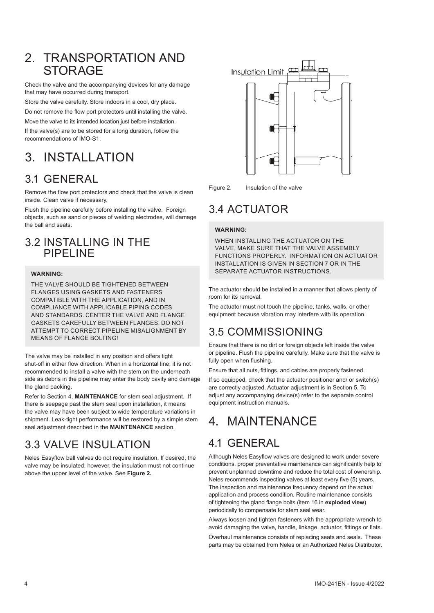### 2. TRANSPORTATION AND **STORAGE**

Check the valve and the accompanying devices for any damage that may have occurred during transport.

Store the valve carefully. Store indoors in a cool, dry place. Do not remove the flow port protectors until installing the valve.

Move the valve to its intended location just before installation.

If the valve(s) are to be stored for a long duration, follow the recommendations of IMO-S1.

# 3. INSTALLATION

## 3.1 GENERAL

Remove the flow port protectors and check that the valve is clean inside. Clean valve if necessary.

Flush the pipeline carefully before installing the valve. Foreign objects, such as sand or pieces of welding electrodes, will damage the ball and seats.

### 3.2 INSTALLING IN THE PIPELINE

#### **WARNING:**

THE VALVE SHOULD BE TIGHTENED BETWEEN FLANGES USING GASKETS AND FASTENERS COMPATIBLE WITH THE APPLICATION, AND IN COMPLIANCE WITH APPLICABLE PIPING CODES AND STANDARDS. CENTER THE VALVE AND FLANGE GASKETS CAREFULLY BETWEEN FLANGES. DO NOT ATTEMPT TO CORRECT PIPELINE MISALIGNMENT BY MEANS OF FLANGE BOLTING!

The valve may be installed in any position and offers tight shut-off in either flow direction. When in a horizontal line, it is not recommended to install a valve with the stem on the underneath side as debris in the pipeline may enter the body cavity and damage the gland packing.

Refer to Section 4, **MAINTENANCE** for stem seal adjustment. If there is seepage past the stem seal upon installation, it means the valve may have been subject to wide temperature variations in shipment. Leak-tight performance will be restored by a simple stem seal adjustment described in the **MAINTENANCE** section.

# 3.3 VALVE INSULATION

Neles Easyflow ball valves do not require insulation. If desired, the valve may be insulated; however, the insulation must not continue above the upper level of the valve. See **Figure 2.**



Figure 2. Insulation of the valve

# 3.4 ACTUATOR

#### **WARNING:**

WHEN INSTALLING THE ACTUATOR ON THE VALVE, MAKE SURE THAT THE VALVE ASSEMBLY FUNCTIONS PROPERLY. INFORMATION ON ACTUATOR INSTALLATION IS GIVEN IN SECTION 7 OR IN THE SEPARATE ACTUATOR INSTRUCTIONS.

The actuator should be installed in a manner that allows plenty of room for its removal.

The actuator must not touch the pipeline, tanks, walls, or other equipment because vibration may interfere with its operation.

# 3.5 COMMISSIONING

Ensure that there is no dirt or foreign objects left inside the valve or pipeline. Flush the pipeline carefully. Make sure that the valve is fully open when flushing.

Ensure that all nuts, fittings, and cables are properly fastened.

If so equipped, check that the actuator positioner and/ or switch(s) are correctly adjusted. Actuator adjustment is in Section 5. To adjust any accompanying device(s) refer to the separate control equipment instruction manuals.

# 4. MAINTENANCE

# 4.1 GENERAL

Although Neles Easyflow valves are designed to work under severe conditions, proper preventative maintenance can significantly help to prevent unplanned downtime and reduce the total cost of ownership. Neles recommends inspecting valves at least every five (5) years. The inspection and maintenance frequency depend on the actual application and process condition. Routine maintenance consists of tightening the gland flange bolts (item 16 in **exploded view**) periodically to compensate for stem seal wear.

Always loosen and tighten fasteners with the appropriate wrench to avoid damaging the valve, handle, linkage, actuator, fittings or flats.

Overhaul maintenance consists of replacing seats and seals. These parts may be obtained from Neles or an Authorized Neles Distributor.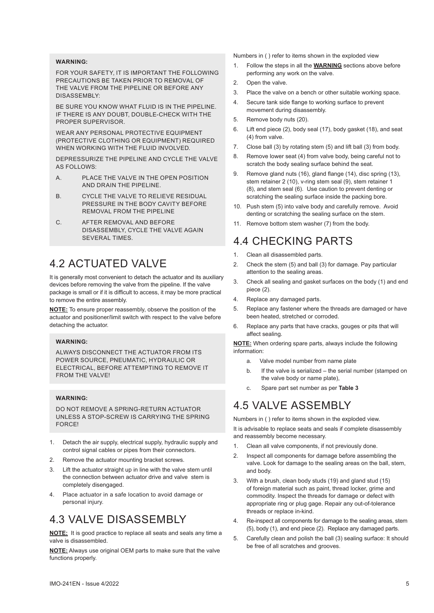#### **WARNING:**

FOR YOUR SAFETY IT IS IMPORTANT THE FOLLOWING PRECAUTIONS BE TAKEN PRIOR TO REMOVAL OF THE VALVE FROM THE PIPELINE OR BEFORE ANY DISASSEMBLY:

BE SURE YOU KNOW WHAT FLUID IS IN THE PIPELINE. IF THERE IS ANY DOUBT, DOUBLE-CHECK WITH THE PROPER SUPERVISOR.

WEAR ANY PERSONAL PROTECTIVE EQUIPMENT (PROTECTIVE CLOTHING OR EQUIPMENT) REQUIRED WHEN WORKING WITH THE FLUID INVOLVED.

DEPRESSURIZE THE PIPELINE AND CYCLE THE VALVE AS FOLLOWS:

- A. PLACE THE VALVE IN THE OPEN POSITION AND DRAIN THE PIPELINE.
- B. CYCLE THE VALVE TO RELIEVE RESIDUAL PRESSURE IN THE BODY CAVITY BEFORE REMOVAL FROM THE PIPELINE
- C. AFTER REMOVAL AND BEFORE DISASSEMBLY, CYCLE THE VALVE AGAIN SEVERAL TIMES.

### 4.2 ACTUATED VALVE

It is generally most convenient to detach the actuator and its auxiliary devices before removing the valve from the pipeline. If the valve package is small or if it is difficult to access, it may be more practical to remove the entire assembly.

**NOTE:** To ensure proper reassembly, observe the position of the actuator and positioner/limit switch with respect to the valve before detaching the actuator.

#### **WARNING:**

ALWAYS DISCONNECT THE ACTUATOR FROM ITS POWER SOURCE, PNEUMATIC, HYDRAULIC OR ELECTRICAL, BEFORE ATTEMPTING TO REMOVE IT FROM THE VALVEL

#### **WARNING**

DO NOT REMOVE A SPRING-RETURN ACTUATOR UNLESS A STOP-SCREW IS CARRYING THE SPRING **FORCE!** 

- 1. Detach the air supply, electrical supply, hydraulic supply and control signal cables or pipes from their connectors.
- 2. Remove the actuator mounting bracket screws.
- 3. Lift the actuator straight up in line with the valve stem until the connection between actuator drive and valve stem is completely disengaged.
- Place actuator in a safe location to avoid damage or personal injury.

### 4.3 VALVE DISASSEMBLY

**NOTE:** It is good practice to replace all seats and seals any time a valve is disassembled.

**NOTE:** Always use original OEM parts to make sure that the valve functions properly.

Numbers in ( ) refer to items shown in the exploded view

- 1. Follow the steps in all the **WARNING** sections above before performing any work on the valve.
- 2. Open the valve.
- 3. Place the valve on a bench or other suitable working space.
- 4. Secure tank side flange to working surface to prevent movement during disassembly.
- 5. Remove body nuts (20).
- 6. Lift end piece (2), body seal (17), body gasket (18), and seat (4) from valve.
- 7. Close ball (3) by rotating stem (5) and lift ball (3) from body.
- 8. Remove lower seat (4) from valve body, being careful not to scratch the body sealing surface behind the seat.
- 9. Remove gland nuts (16), gland flange (14), disc spring (13), stem retainer 2 (10), v-ring stem seal (9), stem retainer 1 (8), and stem seal (6). Use caution to prevent denting or scratching the sealing surface inside the packing bore.
- 10. Push stem (5) into valve body and carefully remove. Avoid denting or scratching the sealing surface on the stem.
- 11. Remove bottom stem washer (7) from the body.

### 4.4 CHECKING PARTS

- 1. Clean all disassembled parts.
- 2. Check the stem (5) and ball (3) for damage. Pay particular attention to the sealing areas.
- 3. Check all sealing and gasket surfaces on the body (1) and end piece (2).
- 4. Replace any damaged parts.
- 5. Replace any fastener where the threads are damaged or have been heated, stretched or corroded.
- 6. Replace any parts that have cracks, gouges or pits that will affect sealing.

**NOTE:** When ordering spare parts, always include the following information:

- a. Valve model number from name plate
- b. If the valve is serialized the serial number (stamped on the valve body or name plate),
- c. Spare part set number as per **Table 3**

### 4.5 VALVE ASSEMBLY

Numbers in ( ) refer to items shown in the exploded view. It is advisable to replace seats and seals if complete disassembly and reassembly become necessary.

- 1. Clean all valve components, if not previously done.
- 2. Inspect all components for damage before assembling the valve. Look for damage to the sealing areas on the ball, stem, and body.
- 3. With a brush, clean body studs (19) and gland stud (15) of foreign material such as paint, thread locker, grime and commodity. Inspect the threads for damage or defect with appropriate ring or plug gage. Repair any out-of-tolerance threads or replace in-kind.
- 4. Re-inspect all components for damage to the sealing areas, stem (5), body (1), and end piece (2). Replace any damaged parts.
- 5. Carefully clean and polish the ball (3) sealing surface: It should be free of all scratches and grooves.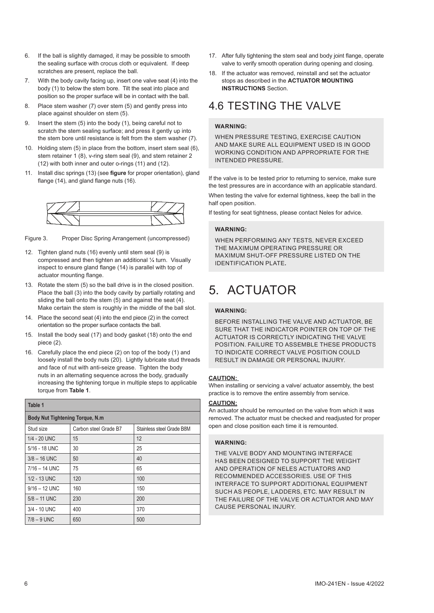- 6. If the ball is slightly damaged, it may be possible to smooth the sealing surface with crocus cloth or equivalent. If deep scratches are present, replace the ball.
- 7. With the body cavity facing up, insert one valve seat (4) into the body (1) to below the stem bore. Tilt the seat into place and position so the proper surface will be in contact with the ball.
- 8. Place stem washer (7) over stem (5) and gently press into place against shoulder on stem (5).
- 9. Insert the stem (5) into the body (1), being careful not to scratch the stem sealing surface; and press it gently up into the stem bore until resistance is felt from the stem washer (7).
- 10. Holding stem (5) in place from the bottom, insert stem seal (6), stem retainer 1 (8), v-ring stem seal (9), and stem retainer 2 (12) with both inner and outer o-rings (11) and (12).
- 11. Install disc springs (13) (see **figure** for proper orientation), gland flange (14), and gland flange nuts (16).



Figure 3. Proper Disc Spring Arrangement (uncompressed)

- 12. Tighten gland nuts (16) evenly until stem seal (9) is compressed and then tighten an additional ¼ turn. Visually inspect to ensure gland flange (14) is parallel with top of actuator mounting flange.
- 13. Rotate the stem (5) so the ball drive is in the closed position. Place the ball (3) into the body cavity by partially rotating and sliding the ball onto the stem (5) and against the seat (4). Make certain the stem is roughly in the middle of the ball slot.
- 14. Place the second seat (4) into the end piece (2) in the correct orientation so the proper surface contacts the ball.
- 15. Install the body seal (17) and body gasket (18) onto the end piece (2).
- 16. Carefully place the end piece (2) on top of the body (1) and loosely install the body nuts (20). Lightly lubricate stud threads and face of nut with anti-seize grease. Tighten the body nuts in an alternating sequence across the body, gradually increasing the tightening torque in multiple steps to applicable torque from **Table 1**.

| Table 1                          |                                                    |     |  |  |  |  |  |
|----------------------------------|----------------------------------------------------|-----|--|--|--|--|--|
| Body Nut Tightening Torque, N.m. |                                                    |     |  |  |  |  |  |
| Stud size                        | Carbon steel Grade B7<br>Stainless steel Grade B8M |     |  |  |  |  |  |
| 1/4 - 20 UNC                     | 15                                                 | 12  |  |  |  |  |  |
| 5/16 - 18 UNC                    | 30                                                 | 25  |  |  |  |  |  |
| $3/8 - 16$ UNC                   | 50                                                 | 40  |  |  |  |  |  |
| $7/16 - 14$ UNC                  | 75                                                 | 65  |  |  |  |  |  |
| 1/2 - 13 UNC                     | 120                                                | 100 |  |  |  |  |  |
| $9/16 - 12$ UNC                  | 160                                                | 150 |  |  |  |  |  |
| $5/8 - 11$ UNC                   | 230                                                | 200 |  |  |  |  |  |
| 3/4 - 10 UNC                     | 400                                                | 370 |  |  |  |  |  |
| $7/8 - 9$ UNC                    | 650                                                | 500 |  |  |  |  |  |

- 17. After fully tightening the stem seal and body joint flange, operate valve to verify smooth operation during opening and closing.
- 18. If the actuator was removed, reinstall and set the actuator stops as described in the **ACTUATOR MOUNTING INSTRUCTIONS** Section.

# 4.6 TESTING THE VALVE

#### **WARNING:**

WHEN PRESSURE TESTING, EXERCISE CAUTION AND MAKE SURE ALL EQUIPMENT USED IS IN GOOD WORKING CONDITION AND APPROPRIATE FOR THE INTENDED PRESSURE.

If the valve is to be tested prior to returning to service, make sure the test pressures are in accordance with an applicable standard.

When testing the valve for external tightness, keep the ball in the half open position.

If testing for seat tightness, please contact Neles for advice.

#### **WARNING:**

WHEN PERFORMING ANY TESTS, NEVER EXCEED THE MAXIMUM OPERATING PRESSURE OR MAXIMUM SHUT-OFF PRESSURE LISTED ON THE IDENTIFICATION PLATE*.*

# 5. ACTUATOR

#### **WARNING:**

BEFORE INSTALLING THE VALVE AND ACTUATOR, BE SURE THAT THE INDICATOR POINTER ON TOP OF THE ACTUATOR IS CORRECTLY INDICATING THE VALVE POSITION. FAILURE TO ASSEMBLE THESE PRODUCTS TO INDICATE CORRECT VALVE POSITION COULD RESULT IN DAMAGE OR PERSONAL INJURY.

#### **CAUTION:**

When installing or servicing a valve/ actuator assembly, the best practice is to remove the entire assembly from service.

#### **CAUTION:**

An actuator should be remounted on the valve from which it was removed. The actuator must be checked and readjusted for proper open and close position each time it is remounted.

#### **WARNING:**

THE VALVE BODY AND MOUNTING INTERFACE HAS BEEN DESIGNED TO SUPPORT THE WEIGHT AND OPERATION OF NELES ACTUATORS AND RECOMMENDED ACCESSORIES. USE OF THIS INTERFACE TO SUPPORT ADDITIONAL EQUIPMENT SUCH AS PEOPLE, LADDERS, ETC. MAY RESULT IN THE FAILURE OF THE VALVE OR ACTUATOR AND MAY CAUSE PERSONAL INJURY.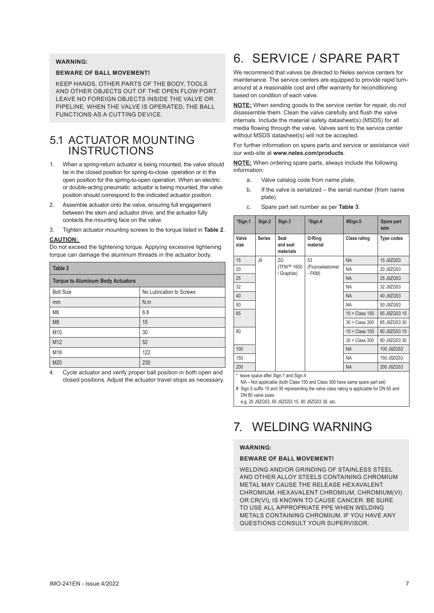#### **WARNING:**

#### **BEWARE OF BALL MOVEMENT!**

KEEP HANDS, OTHER PARTS OF THE BODY, TOOLS AND OTHER OBJECTS OUT OF THE OPEN FLOW PORT. LEAVE NO FOREIGN OBJECTS INSIDE THE VALVE OR PIPELINE. WHEN THE VALVE IS OPERATED, THE BALL FUNCTIONS AS A CUTTING DEVICE.

### 5.1 ACTUATOR MOUNTING INSTRUCTIONS

- 1. When a spring-return actuator is being mounted, the valve should be in the closed position for spring-to-close operation or in the open position for the spring-to-open operation. When an electric or double-acting pneumatic actuator is being mounted, the valve position should correspond to the indicated actuator position.
- 2. Assemble actuator onto the valve, ensuring full engagement between the stem and actuator drive, and the actuator fully contacts the mounting face on the valve.
- 3. Tighten actuator mounting screws to the torque listed in **Table 2**.

#### **CAUTION:**

Do not exceed the tightening torque. Applying excessive tightening torque can damage the aluminum threads in the actuator body.

| Table 2                                  |                          |  |  |  |  |
|------------------------------------------|--------------------------|--|--|--|--|
| <b>Torque to Aluminum Body Actuators</b> |                          |  |  |  |  |
| <b>Bolt Size</b>                         | No Lubrication to Screws |  |  |  |  |
| mm                                       | N.m                      |  |  |  |  |
| M <sub>6</sub>                           | 6.8                      |  |  |  |  |
| M <sub>8</sub>                           | 15                       |  |  |  |  |
| M10                                      | 30                       |  |  |  |  |
| M12                                      | 52                       |  |  |  |  |
| M16                                      | 122                      |  |  |  |  |
| M20                                      | 230                      |  |  |  |  |

4. Cycle actuator and verify proper ball position in both open and closed positions. Adjust the actuator travel stops as necessary.

# 6. SERVICE / SPARE PART

We recommend that valves be directed to Neles service centers for maintenance. The service centers are equipped to provide rapid turnaround at a reasonable cost and offer warranty for reconditioning based on condition of each valve.

**NOTE:** When sending goods to the service center for repair, do not disassemble them. Clean the valve carefully and flush the valve internals. Include the material safety datasheet(s) (MSDS) for all media flowing through the valve. Valves sent to the service center without MSDS datasheet(s) will not be accepted.

For further information on spare parts and service or assistance visit our web-site at **www.neles.com/products**.

**NOTE:** When ordering spare parts, always include the following information:

- a. Valve catalog code from name plate,
- b. If the valve is serialized the serial number (from name plate)
- c. Spare part set number as per **Table 3**.

| Sign.2        | Sign.3                          | *Sign.4                          | #Sign.5                               | Spare part<br>sets |            |
|---------------|---------------------------------|----------------------------------|---------------------------------------|--------------------|------------|
| <b>Series</b> | Seat<br>and seal<br>materials   | 0-Ring<br>material               | <b>Class rating</b>                   | Type codes         |            |
| J9            | ZG<br>(TFM™ 1600<br>/ Graphite) | 53<br>(Fluoroelastomer<br>- FKM) | <b>NA</b>                             | 15 J9ZG53          |            |
|               |                                 |                                  | <b>NA</b>                             | 20 J9ZG53          |            |
|               |                                 |                                  | <b>NA</b>                             | 25 J9ZG53          |            |
|               |                                 |                                  | <b>NA</b>                             | 32 J9ZG53          |            |
|               |                                 |                                  | <b>NA</b>                             | 40 J9ZG53          |            |
|               |                                 |                                  | <b>NA</b>                             | 50 J9ZG53          |            |
|               |                                 |                                  | $15 = Class 150$                      | 65 J9ZG53 15       |            |
|               |                                 |                                  | $30 = Class 300$                      | 65 J9ZG53 30       |            |
|               |                                 |                                  | $15 = Class 150$                      | 80 J9ZG53 15       |            |
|               |                                 |                                  | $30 = Class 300$                      | 80 J9ZG53 30       |            |
|               |                                 |                                  |                                       | <b>NA</b>          | 100 J9ZG53 |
|               |                                 |                                  | <b>NA</b>                             | 150 J9ZG53         |            |
|               |                                 |                                  | <b>NA</b>                             | 200 J9ZG53         |            |
|               |                                 |                                  | * leave snace after Sign 1 and Sign 4 |                    |            |

\* leave space after Sign.1 and Sign.4

- NA Not applicable (both Class 150 and Class 300 have same spare part set)
- # Sign.5 suffix 15 and 30 representing the valve class rating is applicable for DN 65 and DN 80 valve sizes

e.g. 25 J9ZG53, 65 J9ZG53 15, 80 J9ZG53 30, etc.

# 7. WELDING WARNING

#### **WARNING:**

#### **BEWARE OF BALL MOVEMENT!**

WELDING AND/OR GRINDING OF STAINLESS STEEL AND OTHER ALLOY STEELS CONTAINING CHROMIUM METAL MAY CAUSE THE RELEASE HEXAVALENT CHROMIUM. HEXAVALENT CHROMIUM, CHROMIUM(VI) OR CR(VI), IS KNOWN TO CAUSE CANCER. BE SURE TO USE ALL APPROPRIATE PPE WHEN WELDING METALS CONTAINING CHROMIUM. IF YOU HAVE ANY QUESTIONS CONSULT YOUR SUPERVISOR.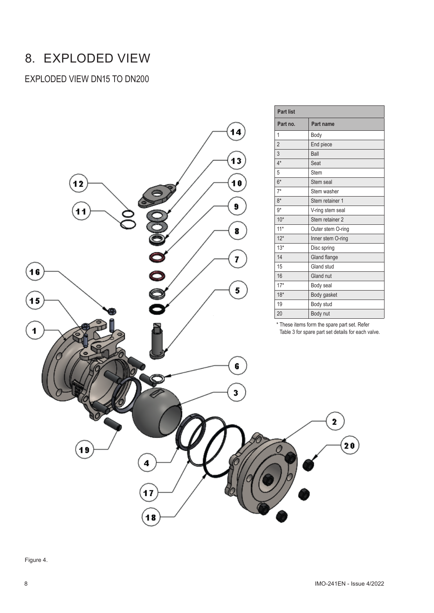# 8. EXPLODED VIEW

### EXPLODED VIEW DN15 TO DN200

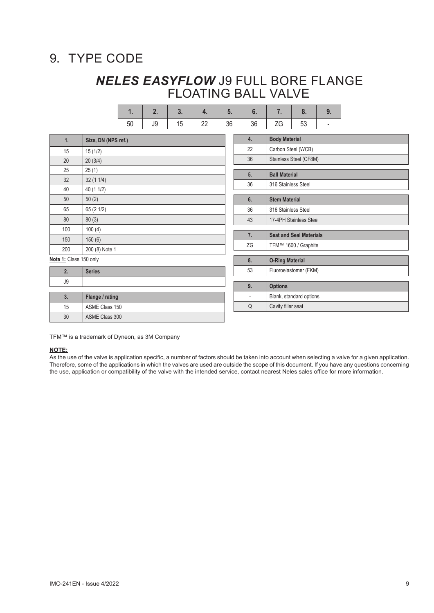# 9. TYPE CODE

### *NELES EASYFLOW* J9 FULL BORE FLANGE FLOATING BALL VALVE

**1. 2. 3. 4. 5. 6. 7. 8. 9.**

|                        |                     |    | $\mathbf{H}$ | v. | ч.                     | v. | v.                             |                        | υ.                      | J.                           |  |
|------------------------|---------------------|----|--------------|----|------------------------|----|--------------------------------|------------------------|-------------------------|------------------------------|--|
|                        |                     | 50 | J9           | 15 | 22                     | 36 | 36                             | ZG                     | 53                      | $\qquad \qquad \blacksquare$ |  |
| 1.                     | Size, DN (NPS ref.) |    |              |    |                        |    | 4.                             | <b>Body Material</b>   |                         |                              |  |
| 15                     | 15(1/2)             |    |              |    |                        |    | 22                             | Carbon Steel (WCB)     |                         |                              |  |
| 20                     | 20(3/4)             |    |              |    |                        |    | 36                             |                        | Stainless Steel (CF8M)  |                              |  |
| 25                     | 25(1)               |    |              |    |                        |    | 5.                             | <b>Ball Material</b>   |                         |                              |  |
| 32                     | 32(11/4)            |    |              |    |                        |    | 36                             | 316 Stainless Steel    |                         |                              |  |
| 40                     | 40 (1 1/2)          |    |              |    |                        |    |                                |                        |                         |                              |  |
| 50                     | 50(2)               |    |              |    |                        |    | 6.                             | <b>Stem Material</b>   |                         |                              |  |
| 65                     | 65 (2 1/2)          |    |              |    |                        |    | 36                             | 316 Stainless Steel    |                         |                              |  |
| 80                     | 80(3)               |    |              |    |                        |    | 43                             | 17-4PH Stainless Steel |                         |                              |  |
| 100                    | 100(4)              |    |              |    |                        |    |                                |                        |                         |                              |  |
| 150                    | 150(6)              |    |              |    |                        | 7. | <b>Seat and Seal Materials</b> |                        |                         |                              |  |
| 200                    | 200 (8) Note 1      |    |              |    |                        |    | ZG                             |                        | TFM™ 1600 / Graphite    |                              |  |
| Note 1: Class 150 only |                     |    |              | 8. | <b>O-Ring Material</b> |    |                                |                        |                         |                              |  |
| 2.                     | <b>Series</b>       |    |              |    |                        |    | 53                             |                        | Fluoroelastomer (FKM)   |                              |  |
| J9                     |                     |    |              |    |                        |    |                                |                        |                         |                              |  |
|                        |                     |    |              |    |                        |    | 9.                             | <b>Options</b>         |                         |                              |  |
| 3.                     | Flange / rating     |    |              |    |                        |    | $\overline{a}$                 |                        | Blank, standard options |                              |  |
| 15                     | ASME Class 150      |    |              |    |                        |    | Q                              | Cavity filler seat     |                         |                              |  |
| 30                     | ASME Class 300      |    |              |    |                        |    |                                |                        |                         |                              |  |

TFM™ is a trademark of Dyneon, as 3M Company

#### **NOTE:**

ſ

ſ

As the use of the valve is application specific, a number of factors should be taken into account when selecting a valve for a given application. Therefore, some of the applications in which the valves are used are outside the scope of this document. If you have any questions concerning the use, application or compatibility of the valve with the intended service, contact nearest Neles sales office for more information.